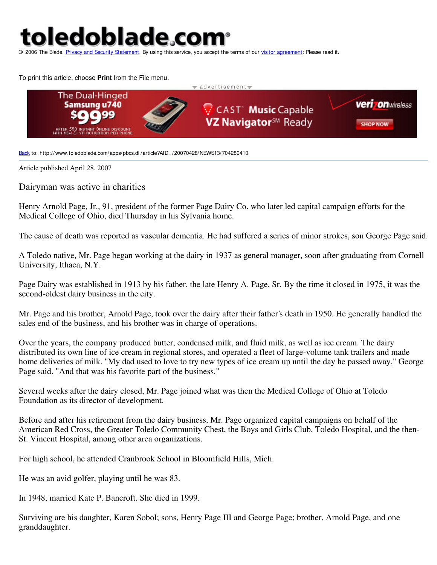## toledoblade.com

ement. By using this service, you accept the terms of our visitor agreement: Please read it.

To print this article, choose **Print** from the File menu.



Back to: http://www.toledoblade.com/apps/pbcs.dll/article?AID=/20070428/NEWS13/704280410

Article published April 28, 2007

Dairyman was active in charities

Henry Arnold Page, Jr., 91, president of the former Page Dairy Co. who later led capital campaign efforts for the Medical College of Ohio, died Thursday in his Sylvania home.

The cause of death was reported as vascular dementia. He had suffered a series of minor strokes, son George Page said.

A Toledo native, Mr. Page began working at the dairy in 1937 as general manager, soon after graduating from Cornell University, Ithaca, N.Y.

Page Dairy was established in 1913 by his father, the late Henry A. Page, Sr. By the time it closed in 1975, it was the second-oldest dairy business in the city.

Mr. Page and his brother, Arnold Page, took over the dairy after their father's death in 1950. He generally handled the sales end of the business, and his brother was in charge of operations.

Over the years, the company produced butter, condensed milk, and fluid milk, as well as ice cream. The dairy distributed its own line of ice cream in regional stores, and operated a fleet of large-volume tank trailers and made home deliveries of milk. "My dad used to love to try new types of ice cream up until the day he passed away," George Page said. "And that was his favorite part of the business."

Several weeks after the dairy closed, Mr. Page joined what was then the Medical College of Ohio at Toledo Foundation as its director of development.

Before and after his retirement from the dairy business, Mr. Page organized capital campaigns on behalf of the American Red Cross, the Greater Toledo Community Chest, the Boys and Girls Club, Toledo Hospital, and the then-St. Vincent Hospital, among other area organizations.

For high school, he attended Cranbrook School in Bloomfield Hills, Mich.

He was an avid golfer, playing until he was 83.

In 1948, married Kate P. Bancroft. She died in 1999.

Surviving are his daughter, Karen Sobol; sons, Henry Page III and George Page; brother, Arnold Page, and one granddaughter.